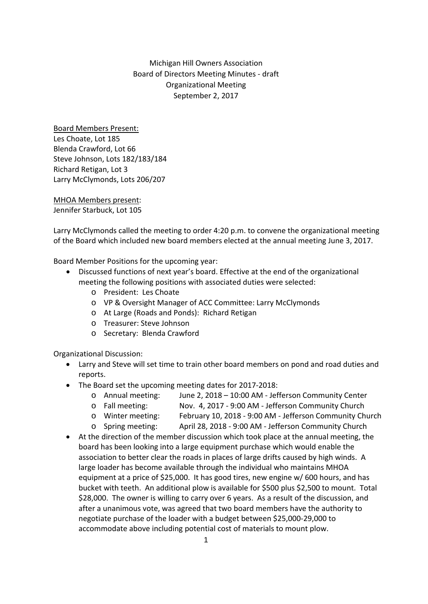## Michigan Hill Owners Association Board of Directors Meeting Minutes ‐ draft Organizational Meeting September 2, 2017

Board Members Present: Les Choate, Lot 185 Blenda Crawford, Lot 66 Steve Johnson, Lots 182/183/184 Richard Retigan, Lot 3 Larry McClymonds, Lots 206/207

MHOA Members present: Jennifer Starbuck, Lot 105

Larry McClymonds called the meeting to order 4:20 p.m. to convene the organizational meeting of the Board which included new board members elected at the annual meeting June 3, 2017.

Board Member Positions for the upcoming year:

- Discussed functions of next year's board. Effective at the end of the organizational meeting the following positions with associated duties were selected:
	- o President: Les Choate
	- o VP & Oversight Manager of ACC Committee: Larry McClymonds
	- o At Large (Roads and Ponds): Richard Retigan
	- o Treasurer: Steve Johnson
	- o Secretary: Blenda Crawford

Organizational Discussion:

- Larry and Steve will set time to train other board members on pond and road duties and reports.
- The Board set the upcoming meeting dates for 2017‐2018:
	- o Annual meeting: June 2, 2018 10:00 AM ‐ Jefferson Community Center
	- o Fall meeting: Nov. 4, 2017 ‐ 9:00 AM ‐ Jefferson Community Church
	- o Winter meeting: February 10, 2018 ‐ 9:00 AM ‐ Jefferson Community Church
	- o Spring meeting: April 28, 2018 ‐ 9:00 AM ‐ Jefferson Community Church
- At the direction of the member discussion which took place at the annual meeting, the board has been looking into a large equipment purchase which would enable the association to better clear the roads in places of large drifts caused by high winds. A large loader has become available through the individual who maintains MHOA equipment at a price of \$25,000. It has good tires, new engine w/ 600 hours, and has bucket with teeth. An additional plow is available for \$500 plus \$2,500 to mount. Total \$28,000. The owner is willing to carry over 6 years. As a result of the discussion, and after a unanimous vote, was agreed that two board members have the authority to negotiate purchase of the loader with a budget between \$25,000‐29,000 to accommodate above including potential cost of materials to mount plow.